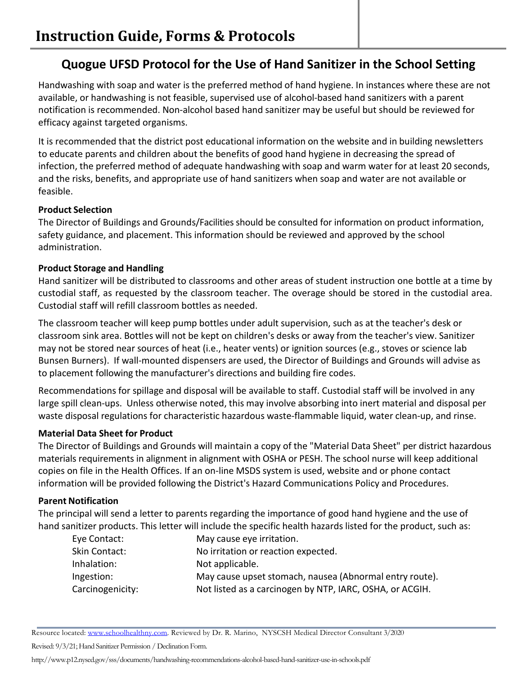# **Quogue UFSD Protocol for the Use of Hand Sanitizer in the School Setting**

Handwashing with soap and water is the preferred method of hand hygiene. In instances where these are not available, or handwashing is not feasible, supervised use of alcohol-based hand sanitizers with a parent notification is recommended. Non-alcohol based hand sanitizer may be useful but should be reviewed for efficacy against targeted organisms.

It is recommended that the district post educational information on the website and in building newsletters to educate parents and children about the benefits of good hand hygiene in decreasing the spread of infection, the preferred method of adequate handwashing with soap and warm water for at least 20 seconds, and the risks, benefits, and appropriate use of hand sanitizers when soap and water are not available or feasible.

# **Product Selection**

The Director of Buildings and Grounds/Facilities should be consulted for information on product information, safety guidance, and placement. This information should be reviewed and approved by the school administration.

# **Product Storage and Handling**

Hand sanitizer will be distributed to classrooms and other areas of student instruction one bottle at a time by custodial staff, as requested by the classroom teacher. The overage should be stored in the custodial area. Custodial staff will refill classroom bottles as needed.

The classroom teacher will keep pump bottles under adult supervision, such as at the teacher's desk or classroom sink area. Bottles will not be kept on children's desks or away from the teacher's view. Sanitizer may not be stored near sources of heat (i.e., heater vents) or ignition sources (e.g., stoves or science lab Bunsen Burners). If wall-mounted dispensers are used, the Director of Buildings and Grounds will advise as to placement following the manufacturer's directions and building fire codes.

Recommendations for spillage and disposal will be available to staff. Custodial staff will be involved in any large spill clean-ups. Unless otherwise noted, this may involve absorbing into inert material and disposal per waste disposal regulations for characteristic hazardous waste-flammable liquid, water clean-up, and rinse.

# **Material Data Sheet for Product**

The Director of Buildings and Grounds will maintain a copy of the "Material Data Sheet" per district hazardous materials requirements in alignment in alignment with OSHA or PESH. The school nurse will keep additional copies on file in the Health Offices. If an on-line MSDS system is used, website and or phone contact information will be provided following the District's Hazard Communications Policy and Procedures.

# **Parent Notification**

The principal will send a letter to parents regarding the importance of good hand hygiene and the use of hand sanitizer products. This letter will include the specific health hazards listed for the product, such as:

| Eye Contact:     | May cause eye irritation.                                |
|------------------|----------------------------------------------------------|
| Skin Contact:    | No irritation or reaction expected.                      |
| Inhalation:      | Not applicable.                                          |
| Ingestion:       | May cause upset stomach, nausea (Abnormal entry route).  |
| Carcinogenicity: | Not listed as a carcinogen by NTP, IARC, OSHA, or ACGIH. |

Resource located: www.schoolhealthny.com. Reviewed by Dr. R. Marino, NYSCSH Medical Director Consultant 3/2020

Revised: 9/3/21; Hand Sanitizer Permission / Declination Form.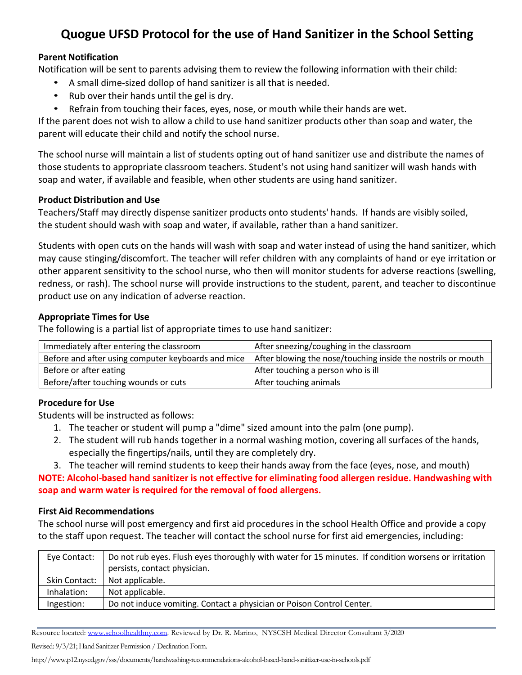# **Quogue UFSD Protocol for the use of Hand Sanitizer in the School Setting**

### **Parent Notification**

Notification will be sent to parents advising them to review the following information with their child:

- A small dime-sized dollop of hand sanitizer is all that is needed.
- Rub over their hands until the gel is dry.
- Refrain from touching their faces, eyes, nose, or mouth while their hands are wet.

If the parent does not wish to allow a child to use hand sanitizer products other than soap and water, the parent will educate their child and notify the school nurse.

The school nurse will maintain a list of students opting out of hand sanitizer use and distribute the names of those students to appropriate classroom teachers. Student's not using hand sanitizer will wash hands with soap and water, if available and feasible, when other students are using hand sanitizer.

### **Product Distribution and Use**

Teachers/Staff may directly dispense sanitizer products onto students' hands. If hands are visibly soiled, the student should wash with soap and water, if available, rather than a hand sanitizer.

Students with open cuts on the hands will wash with soap and water instead of using the hand sanitizer, which may cause stinging/discomfort. The teacher will refer children with any complaints of hand or eye irritation or other apparent sensitivity to the school nurse, who then will monitor students for adverse reactions (swelling, redness, or rash). The school nurse will provide instructions to the student, parent, and teacher to discontinue product use on any indication of adverse reaction.

# **Appropriate Times for Use**

The following is a partial list of appropriate times to use hand sanitizer:

| Immediately after entering the classroom           | After sneezing/coughing in the classroom                     |  |
|----------------------------------------------------|--------------------------------------------------------------|--|
| Before and after using computer keyboards and mice | After blowing the nose/touching inside the nostrils or mouth |  |
| Before or after eating                             | After touching a person who is ill                           |  |
| Before/after touching wounds or cuts               | After touching animals                                       |  |

# **Procedure for Use**

Students will be instructed as follows:

- 1. The teacher or student will pump a "dime" sized amount into the palm (one pump).
- 2. The student will rub hands together in a normal washing motion, covering all surfaces of the hands, especially the fingertips/nails, until they are completely dry.
- 3. The teacher will remind students to keep their hands away from the face (eyes, nose, and mouth)

**NOTE: Alcohol-based hand sanitizer is not effective for eliminating food allergen residue. Handwashing with soap and warm water isrequired for the removal of food allergens.**

# **First Aid Recommendations**

The school nurse will post emergency and first aid procedures in the school Health Office and provide a copy to the staff upon request. The teacher will contact the school nurse for first aid emergencies, including:

| Eye Contact:  | Do not rub eyes. Flush eyes thoroughly with water for 15 minutes. If condition worsens or irritation |
|---------------|------------------------------------------------------------------------------------------------------|
|               | persists, contact physician.                                                                         |
| Skin Contact: | Not applicable.                                                                                      |
| Inhalation:   | Not applicable.                                                                                      |
| Ingestion:    | Do not induce vomiting. Contact a physician or Poison Control Center.                                |

Resource located: www.schoolhealthny.com. Reviewed by Dr. R. Marino, NYSCSH Medical Director Consultant 3/2020

Revised: 9/3/21; Hand Sanitizer Permission / Declination Form.

http://www.p12.nysed.gov/sss/documents/handwashing-recommendations-alcohol-based-hand-sanitizer-use-in-schools.pdf